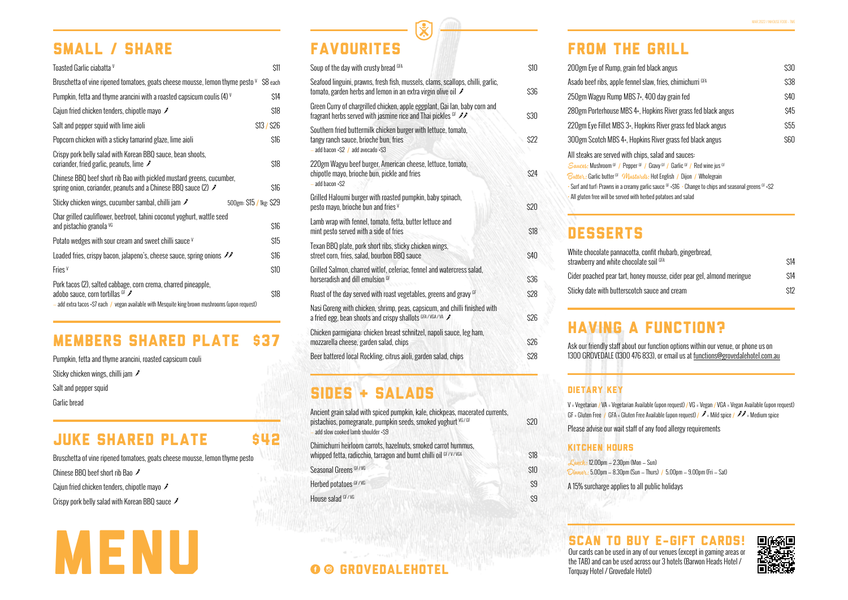### SMALL / SHARE

| Soup of the day with crusty bread GFA                                                                                                               | \$10 |
|-----------------------------------------------------------------------------------------------------------------------------------------------------|------|
| Seafood linguini, prawns, fresh fish, mussels, clams, scallops, chilli, garlic,<br>tomato, garden herbs and lemon in an extra virgin olive oil F    | \$36 |
| Green Curry of chargrilled chicken, apple eggplant, Gai lan, baby corn and<br>fragrant herbs served with jasmine rice and Thai pickles GF <b>11</b> | \$30 |
| Southern fried buttermilk chicken burger with lettuce, tomato,<br>tangy ranch sauce, brioche bun, fries<br>$-$ add bacon +\$2 $/$ add avocado +\$3  | \$22 |
| 220gm Wagyu beef burger, American cheese, lettuce, tomato,<br>chipotle mayo, brioche bun, pickle and fries<br>- add bacon +\$2                      | \$24 |
| Grilled Haloumi burger with roasted pumpkin, baby spinach,<br>pesto mayo, brioche bun and fries V                                                   | \$20 |
| Lamb wrap with fennel, tomato, fetta, butter lettuce and<br>mint pesto served with a side of fries                                                  | \$18 |
| Texan BBQ plate, pork short ribs, sticky chicken wings,<br>street corn, fries, salad, bourbon BBQ sauce                                             | \$40 |
| Grilled Salmon, charred witlof, celeriac, fennel and watercress salad,<br>horseradish and dill emulsion GF                                          | \$36 |
| Roast of the day served with roast vegetables, greens and gravy GF                                                                                  | \$28 |
| Nasi Goreng with chicken, shrimp, peas, capsicum, and chilli finished with<br>a fried egg, bean shoots and crispy shallots GFA/VGA/VA               | \$26 |
| Chicken parmigiana: chicken breast schnitzel, napoli sauce, leg ham,<br>mozzarella cheese, garden salad, chips                                      | \$26 |
| Beer battered local Rockling, citrus aioli, garden salad, chips                                                                                     | \$28 |

# SIDES + SALADS

V = Vegetarian / VA = Vegetarian Available (upon request) / VG = Vegan / VGA = Vegan Available (upon request) GF = Gluten Free  $/$  GFA = Gluten Free Available (upon request)  $/$   $\mathscr{I}$  = Mild spice  $/$   $\mathscr{I}$  = Medium spice

# FAVOURITES

| 200gm Eye of Rump, grain fed black angus                                                                                                                                                                                                                                                                                                                                                                         | \$30       |
|------------------------------------------------------------------------------------------------------------------------------------------------------------------------------------------------------------------------------------------------------------------------------------------------------------------------------------------------------------------------------------------------------------------|------------|
| Asado beef ribs, apple fennel slaw, fries, chimichurri GFA                                                                                                                                                                                                                                                                                                                                                       | \$38       |
| 250gm Wagyu Rump MBS 7+, 400 day grain fed                                                                                                                                                                                                                                                                                                                                                                       | \$40       |
| 280gm Porterhouse MBS 4+, Hopkins River grass fed black angus                                                                                                                                                                                                                                                                                                                                                    | \$45       |
| 220gm Eye Fillet MBS 3+, Hopkins River grass fed black angus                                                                                                                                                                                                                                                                                                                                                     | <b>S55</b> |
| 300gm Scotch MBS 4+, Hopkins River grass fed black angus                                                                                                                                                                                                                                                                                                                                                         | \$60       |
| All steaks are served with chips, salad and sauces:<br>Sauces: Mushroom GF / Pepper GF / Gravy GF / Garlic GF / Red wine jus GF<br><i>Butter</i> : Garlic butter <sup>GF</sup> <i>Mustards:</i> Hot English / Dijon / Wholegrain<br>• Surf and turf: Prawns in a creamy garlic sauce $GF + ST6$ • Change to chips and seasonal greens $GF + SZ$<br>All gluten free will be served with herbed potatoes and salad |            |

## **DESSERTS**

## FROM THE GRILL

| White chocolate pannacotta, confit rhubarb, gingerbread,<br>strawberry and white chocolate soil GFA |
|-----------------------------------------------------------------------------------------------------|
| Cider poached pear tart, honey mousse, cider pear gel, al                                           |
| Sticky date with butterscotch sauce and cream                                                       |
|                                                                                                     |

| White chocolate pannacotta, confit rhubarb, gingerbread,               |      |
|------------------------------------------------------------------------|------|
| strawberry and white chocolate soil GFA                                | \$14 |
| Cider poached pear tart, honey mousse, cider pear gel, almond meringue | \$14 |
| Sticky date with butterscotch sauce and cream                          | \$12 |

Please advise our wait staff of any food allergy requirements

 $\mathsf{on-Sun)}$  $n -$ Thurs) / 5.00pm  $-$  9.00pm (Fri  $-$  Sat) all public holidays



Ask our friendly staff about our function options within our venue, or phone us on 1300 GROVEDALE (1300 476 833), or email us at functions@grovedalehotel.com.au

### DIETARY KEY

### KITCHEN HOURS

| <i><u> Lunch:</u></i> 12.00pm – 2.30pm (Mor<br>$Dimnet: 5.00pm - 8.30pm$ (Sun |
|-------------------------------------------------------------------------------|
| A 15% surcharge applies to a                                                  |

### HAVING A FUNCTION?

Pumpkin, fetta and thyme arancini, roasted capsicum couli Sticky chicken wings, chilli jam Salt and pepper squid Garlic bread

### **JUKE SHARED PLATE \$42**

### MEMBERS SHARED PLATE \$37

Bruschetta of vine ripened tomatoes, goats cheese mousse, lemon thyme pesto

Chinese BBQ beef short rib Bao

Caiun fried chicken tenders, chipotle mayo  $\hat{\mathscr{I}}$ 

Crispy pork belly salad with Korean BBQ sauce

| Ancient grain salad with spiced pumpkin, kale, chickpeas, macerated currents,<br>pistachios, pomegranate, pumpkin seeds, smoked yoghurt <sup>vG/GF</sup><br>add slow cooked lamb shoulder +\$9 | \$20 |  |
|------------------------------------------------------------------------------------------------------------------------------------------------------------------------------------------------|------|--|
| Chimichurri heirloom carrots, hazelnuts, smoked carrot hummus,<br>whipped fetta, radicchio, tarragon and burnt chilli oil GF/V/VGA                                                             | \$18 |  |
| Seasonal Greens <sup>GF/VG</sup>                                                                                                                                                               | \$10 |  |
| Herbed potatoes GF/VG                                                                                                                                                                          | \$9  |  |
| House salad GF/VG                                                                                                                                                                              | \$9  |  |
|                                                                                                                                                                                                |      |  |

| Toasted Garlic ciabatta V                                                                                                                                                                           | \$11                    |
|-----------------------------------------------------------------------------------------------------------------------------------------------------------------------------------------------------|-------------------------|
| Bruschetta of vine ripened tomatoes, goats cheese mousse, lemon thyme pesto $V$ \$8 each                                                                                                            |                         |
| Pumpkin, fetta and thyme arancini with a roasted capsicum coulis (4) $\vee$                                                                                                                         | \$14                    |
| Cajun fried chicken tenders, chipotle mayo F                                                                                                                                                        | \$18                    |
| Salt and pepper squid with lime aioli                                                                                                                                                               | \$13 / \$26             |
| Popcorn chicken with a sticky tamarind glaze, lime aioli                                                                                                                                            | \$16                    |
| Crispy pork belly salad with Korean BBQ sauce, bean shoots,<br>coriander, fried garlic, peanuts, lime $\mathscr I$                                                                                  | \$18                    |
| Chinese BBQ beef short rib Bao with pickled mustard greens, cucumber,<br>spring onion, coriander, peanuts and a Chinese BBQ sauce (2) F                                                             | \$16                    |
| Sticky chicken wings, cucumber sambal, chilli jam $\mathscr I$                                                                                                                                      | 500gm: \$15 / 1kg: \$29 |
| Char grilled cauliflower, beetroot, tahini coconut yoghurt, wattle seed<br>and pistachio granola VG                                                                                                 | \$16                    |
| Potato wedges with sour cream and sweet chilli sauce v                                                                                                                                              | \$15                    |
| Loaded fries, crispy bacon, jalapeno's, cheese sauce, spring onions $\mathscr{I}\mathscr{I}$                                                                                                        | \$16                    |
| Fries <sup>v</sup>                                                                                                                                                                                  | \$10                    |
| Pork tacos (2), salted cabbage, corn crema, charred pineapple,<br>adobo sauce, corn tortillas GF<br>- add extra tacos +\$7 each / vegan available with Mesquite king brown mushrooms (upon request) | \$18                    |



Our cards can be used in any of our venues (except in gaming areas or the TAB) and can be used across our 3 hotels (Barwon Heads Hotel /

### **O @ GROVEDALEHOTEL**